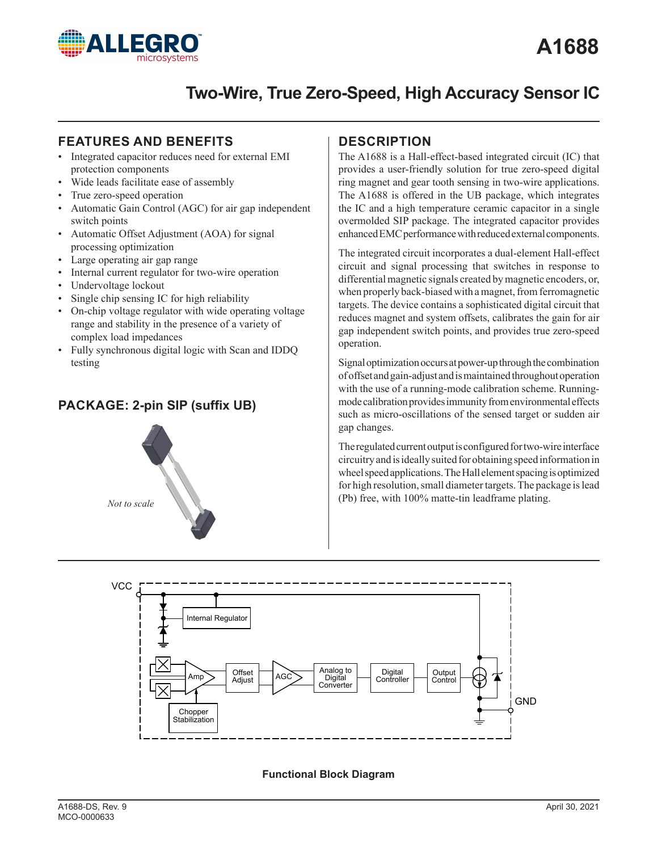

# **Two-Wire, True Zero-Speed, High Accuracy Sensor IC**

## **FEATURES AND BENEFITS IDESCRIPTION**

- Integrated capacitor reduces need for external EMI protection components
- Wide leads facilitate ease of assembly
- True zero-speed operation
- Automatic Gain Control (AGC) for air gap independent switch points
- Automatic Offset Adjustment (AOA) for signal processing optimization
- Large operating air gap range
- Internal current regulator for two-wire operation
- Undervoltage lockout
- Single chip sensing IC for high reliability
- On-chip voltage regulator with wide operating voltage range and stability in the presence of a variety of complex load impedances
- Fully synchronous digital logic with Scan and IDDQ testing

# **PACKAGE: 2-pin SIP (suffix UB)**



The A1688 is a Hall-effect-based integrated circuit (IC) that provides a user-friendly solution for true zero-speed digital ring magnet and gear tooth sensing in two-wire applications. The A1688 is offered in the UB package, which integrates the IC and a high temperature ceramic capacitor in a single overmolded SIP package. The integrated capacitor provides enhanced EMC performance with reduced external components.

The integrated circuit incorporates a dual-element Hall-effect circuit and signal processing that switches in response to differential magnetic signals created by magnetic encoders, or, when properly back-biased with a magnet, from ferromagnetic targets. The device contains a sophisticated digital circuit that reduces magnet and system offsets, calibrates the gain for air gap independent switch points, and provides true zero-speed operation.

Signal optimization occurs at power-up through the combination of offset and gain-adjust and is maintained throughout operation with the use of a running-mode calibration scheme. Runningmode calibration provides immunity from environmental effects such as micro-oscillations of the sensed target or sudden air gap changes.

The regulated current output is configured for two-wire interface circuitry and is ideally suited for obtaining speed information in wheel speed applications. The Hall element spacing is optimized for high resolution, small diameter targets. The package is lead (Pb) free, with 100% matte-tin leadframe plating.



#### **Functional Block Diagram**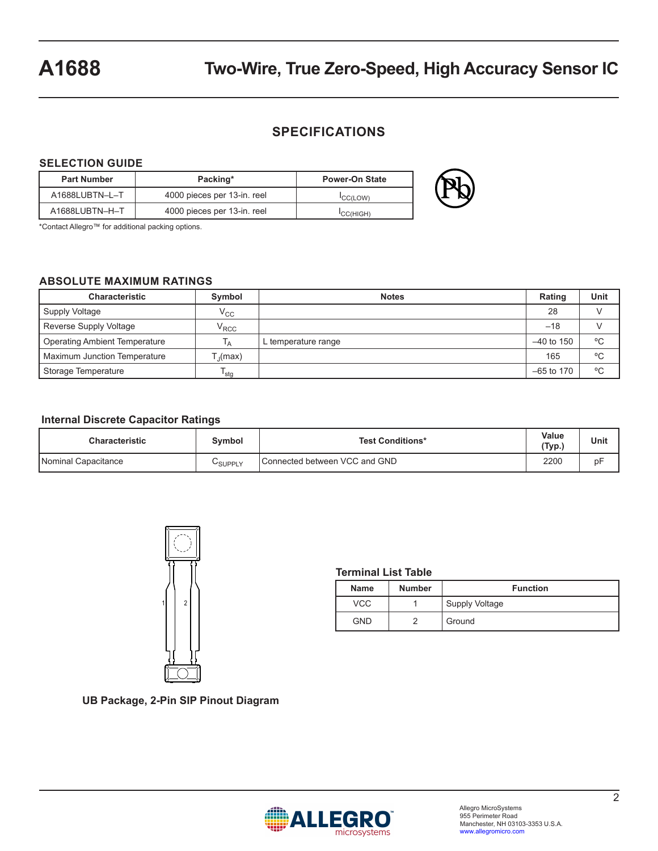# **A1688 Two-Wire, True Zero-Speed, High Accuracy Sensor IC**

### **SPECIFICATIONS**

#### **SELECTION GUIDE**

| <b>Part Number</b> | Packing*                    | <b>Power-On State</b> |  |
|--------------------|-----------------------------|-----------------------|--|
| A1688LUBTN-L-T     | 4000 pieces per 13-in. reel | <b>CC(LOW)</b>        |  |
| A1688LUBTN-H-T     | 4000 pieces per 13-in. reel | 'CC(HIGH)             |  |

\*Contact Allegro™ for additional packing options.

#### **ABSOLUTE MAXIMUM RATINGS**

| <b>Characteristic</b>                | Symbol            | <b>Notes</b>        | Rating       | Unit |
|--------------------------------------|-------------------|---------------------|--------------|------|
| Supply Voltage                       | $\rm V_{CC}$      |                     | 28           |      |
| Reverse Supply Voltage               | $\rm V_{\rm RCC}$ |                     | $-18$        |      |
| <b>Operating Ambient Temperature</b> | Τд                | L temperature range | $-40$ to 150 | °C   |
| <b>Maximum Junction Temperature</b>  | [,(max)           |                     | 165          | °C   |
| Storage Temperature                  | $T_{\text{stg}}$  |                     | $-65$ to 170 | °C   |

#### **Internal Discrete Capacitor Ratings**

| <b>Characteristic</b> | Svmbol  | <b>Test Conditions*</b>       | Value<br>(Typ., | Unit |
|-----------------------|---------|-------------------------------|-----------------|------|
| Nominal Capacitance   | ∪SUPPLY | Connected between VCC and GND | 2200            | b۲   |



#### **Terminal List Table**

| <b>Name</b> | <b>Number</b> | <b>Function</b> |
|-------------|---------------|-----------------|
| VCC         |               | Supply Voltage  |
| GND         |               | Ground          |

**UB Package, 2-Pin SIP Pinout Diagram**

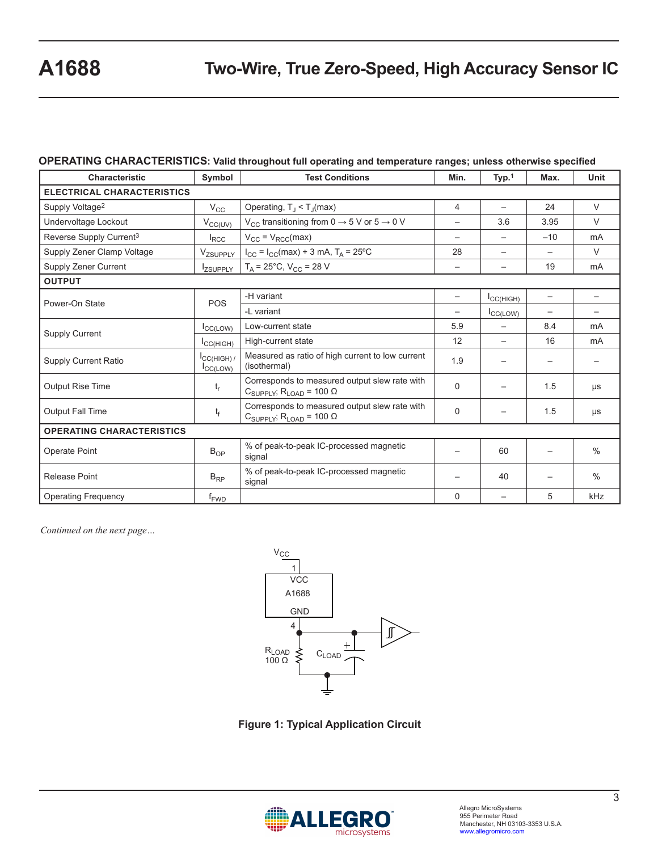#### **OPERATING CHARACTERISTICS: Valid throughout full operating and temperature ranges; unless otherwise specified**

| Characteristic                      | Symbol                                        | <b>Test Conditions</b>                                                                                  | Min.                     | Typ.1                    | Max.                     | Unit                     |
|-------------------------------------|-----------------------------------------------|---------------------------------------------------------------------------------------------------------|--------------------------|--------------------------|--------------------------|--------------------------|
| <b>ELECTRICAL CHARACTERISTICS</b>   |                                               |                                                                                                         |                          |                          |                          |                          |
| Supply Voltage <sup>2</sup>         | $V_{\rm CC}$                                  | Operating, $T_J < T_J$ (max)                                                                            | 4                        | $\overline{\phantom{0}}$ | 24                       | $\vee$                   |
| Undervoltage Lockout                | $V_{CC(UV)}$                                  | V <sub>CC</sub> transitioning from 0 $\rightarrow$ 5 V or 5 $\rightarrow$ 0 V                           |                          | 3.6                      | 3.95                     | $\vee$                   |
| Reverse Supply Current <sup>3</sup> | $I_{RCC}$                                     | $V_{CC} = V_{RCC}(max)$                                                                                 |                          | $\overline{\phantom{0}}$ | $-10$                    | mA                       |
| Supply Zener Clamp Voltage          | V <sub>ZSUPPLY</sub>                          | $I_{CC} = I_{CC}(max) + 3$ mA, $T_A = 25$ °C                                                            | 28                       | $\overline{\phantom{0}}$ |                          | $\vee$                   |
| Supply Zener Current                | <b>IzSUPPLY</b>                               | $T_A = 25^{\circ}$ C, V <sub>CC</sub> = 28 V                                                            | $\overline{\phantom{0}}$ | $\overline{\phantom{0}}$ | 19                       | m <sub>A</sub>           |
| <b>OUTPUT</b>                       |                                               |                                                                                                         |                          |                          |                          |                          |
| Power-On State                      | POS                                           | -H variant                                                                                              | $\overline{\phantom{m}}$ | ICC(HIGH)                | $\overline{\phantom{m}}$ | $\overline{\phantom{m}}$ |
|                                     |                                               | -L variant                                                                                              |                          | ICC(LOW)                 |                          |                          |
|                                     | I <sub>CC(LOW)</sub>                          | Low-current state                                                                                       | 5.9                      |                          | 8.4                      | mA                       |
| <b>Supply Current</b>               | ICC(HIGH)                                     | High-current state                                                                                      | 12                       | $\qquad \qquad -$        | 16                       | mA                       |
| <b>Supply Current Ratio</b>         | $I_{\text{CC(HIGH)}}$<br>I <sub>CC(LOW)</sub> | Measured as ratio of high current to low current<br>(isothermal)                                        | 1.9                      |                          |                          |                          |
| <b>Output Rise Time</b>             | $t_{r}$                                       | Corresponds to measured output slew rate with<br>$C_{\text{SUPPLY}}$ , $R_{\text{LOAD}} = 100 \Omega$   | $\Omega$                 |                          | 1.5                      | μs                       |
| <b>Output Fall Time</b>             | $t_f$                                         | Corresponds to measured output slew rate with<br>$C_{\text{SUPPLY}}$ , $R_{\text{LOAD}}$ = 100 $\Omega$ | $\Omega$                 |                          | 1.5                      | μs                       |
| <b>OPERATING CHARACTERISTICS</b>    |                                               |                                                                                                         |                          |                          |                          |                          |
| Operate Point                       | $B_{OP}$                                      | % of peak-to-peak IC-processed magnetic<br>signal                                                       |                          | 60                       |                          | $\frac{0}{0}$            |
| <b>Release Point</b>                | $B_{RP}$                                      | % of peak-to-peak IC-processed magnetic<br>signal                                                       |                          | 40                       |                          | $\frac{0}{0}$            |
| <b>Operating Frequency</b>          | $f_{\text{FWD}}$                              |                                                                                                         | $\Omega$                 | $\overline{\phantom{0}}$ | 5                        | kHz                      |

*Continued on the next page…*



**Figure 1: Typical Application Circuit**

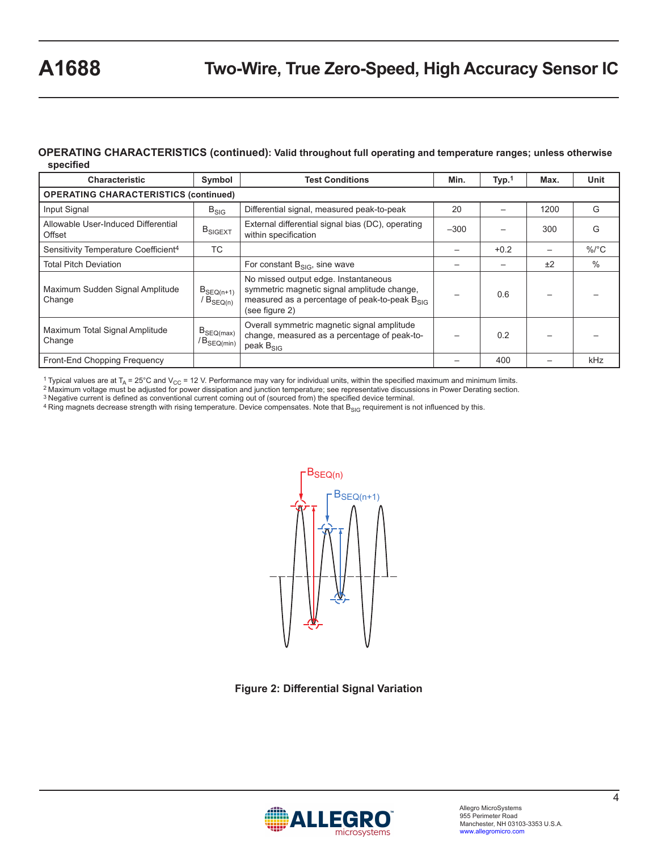#### **OPERATING CHARACTERISTICS (continued): Valid throughout full operating and temperature ranges; unless otherwise specified**

| <b>Characteristic</b>                            | Symbol                                       | <b>Test Conditions</b>                                                                                                                                 | Min.   | Type <sub>1</sub> | Max. | Unit       |
|--------------------------------------------------|----------------------------------------------|--------------------------------------------------------------------------------------------------------------------------------------------------------|--------|-------------------|------|------------|
|                                                  | <b>OPERATING CHARACTERISTICS (continued)</b> |                                                                                                                                                        |        |                   |      |            |
| Input Signal                                     | $B_{SIG}$                                    | Differential signal, measured peak-to-peak                                                                                                             | 20     |                   | 1200 | G          |
| Allowable User-Induced Differential<br>Offset    | $B_{\text{SIGEXT}}$                          | External differential signal bias (DC), operating<br>within specification                                                                              | $-300$ |                   | 300  | G          |
| Sensitivity Temperature Coefficient <sup>4</sup> | TC                                           |                                                                                                                                                        |        | $+0.2$            |      | $\%$ /°C   |
| <b>Total Pitch Deviation</b>                     |                                              | For constant $B_{SIG}$ , sine wave                                                                                                                     |        |                   | ±2   | $\%$       |
| Maximum Sudden Signal Amplitude<br>Change        | $B_{SEQ(n+1)}$<br>/ $B_{SEQ(n)}$             | No missed output edge. Instantaneous<br>symmetric magnetic signal amplitude change,<br>measured as a percentage of peak-to-peak Bsic<br>(see figure 2) |        | 0.6               |      |            |
| Maximum Total Signal Amplitude<br>Change         | $B_{SEQ(max)}$<br>$/B_{SEQ(min)}$            | Overall symmetric magnetic signal amplitude<br>change, measured as a percentage of peak-to-<br>peak $B_{SIG}$                                          |        | 0.2               |      |            |
| Front-End Chopping Frequency                     |                                              |                                                                                                                                                        |        | 400               |      | <b>kHz</b> |

<sup>1</sup> Typical values are at T<sub>A</sub> = 25°C and V<sub>CC</sub> = 12 V. Performance may vary for individual units, within the specified maximum and minimum limits.<br><sup>2</sup> Maximum voltage must be adjusted for power dissipation and junction t

3 Negative current is defined as conventional current coming out of (sourced from) the specified device terminal.

4 Ring magnets decrease strength with rising temperature. Device compensates. Note that B<sub>SIG</sub> requirement is not influenced by this.



**Figure 2: Differential Signal Variation**

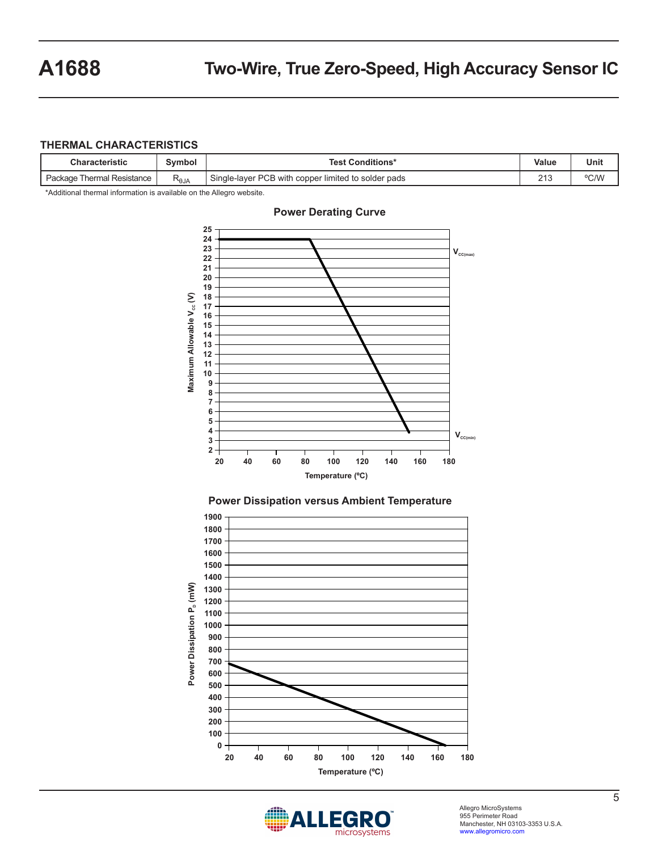#### **THERMAL CHARACTERISTICS**

| Characteristic                  | Symbol         | <b>Test Conditions*</b>                                                                                 | Value       | Unit |
|---------------------------------|----------------|---------------------------------------------------------------------------------------------------------|-------------|------|
| Resistance<br>Package<br>hermal | $R_{\theta$ JA | Single<br><b>PCB</b><br>-laver<br>r limited to solder pads<br>copper'<br>with<br>$\cdot$ . Find $\cdot$ | 040<br>ں ہے | °C/W |

\*Additional thermal information is available on the Allegro website.



#### **Power Derating Curve**





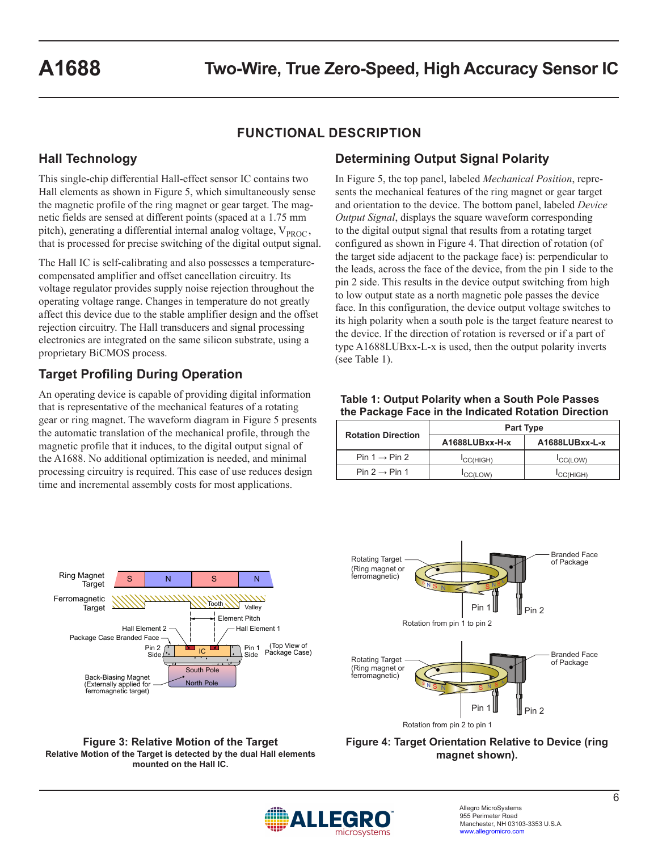# **FUNCTIONAL DESCRIPTION**

## **Hall Technology**

This single-chip differential Hall-effect sensor IC contains two Hall elements as shown in Figure 5, which simultaneously sense the magnetic profile of the ring magnet or gear target. The magnetic fields are sensed at different points (spaced at a 1.75 mm pitch), generating a differential internal analog voltage,  $V_{PROC}$ , that is processed for precise switching of the digital output signal.

The Hall IC is self-calibrating and also possesses a temperaturecompensated amplifier and offset cancellation circuitry. Its voltage regulator provides supply noise rejection throughout the operating voltage range. Changes in temperature do not greatly affect this device due to the stable amplifier design and the offset rejection circuitry. The Hall transducers and signal processing electronics are integrated on the same silicon substrate, using a proprietary BiCMOS process.

# **Target Profiling During Operation**

An operating device is capable of providing digital information that is representative of the mechanical features of a rotating gear or ring magnet. The waveform diagram in Figure 5 presents the automatic translation of the mechanical profile, through the magnetic profile that it induces, to the digital output signal of the A1688. No additional optimization is needed, and minimal processing circuitry is required. This ease of use reduces design time and incremental assembly costs for most applications.

# **Determining Output Signal Polarity**

In Figure 5, the top panel, labeled *Mechanical Position*, represents the mechanical features of the ring magnet or gear target and orientation to the device. The bottom panel, labeled *Device Output Signal*, displays the square waveform corresponding to the digital output signal that results from a rotating target configured as shown in Figure 4. That direction of rotation (of the target side adjacent to the package face) is: perpendicular to the leads, across the face of the device, from the pin 1 side to the pin 2 side. This results in the device output switching from high to low output state as a north magnetic pole passes the device face. In this configuration, the device output voltage switches to its high polarity when a south pole is the target feature nearest to the device. If the direction of rotation is reversed or if a part of type A1688LUBxx-L-x is used, then the output polarity inverts (see Table 1).

#### **Table 1: Output Polarity when a South Pole Passes the Package Face in the Indicated Rotation Direction**

| <b>Rotation Direction</b> | <b>Part Type</b>      |                       |  |  |
|---------------------------|-----------------------|-----------------------|--|--|
|                           | A1688LUBxx-H-x        | A1688LUBxx-L-x        |  |  |
| Pin $1 \rightarrow$ Pin 2 | <sup>I</sup> CC(HIGH) | CC(LOW)               |  |  |
| Pin $2 \rightarrow$ Pin 1 | CC(LOW)               | <sup>I</sup> CC(HIGH) |  |  |





**Figure 3: Relative Motion of the Target Relative Motion of the Target is detected by the dual Hall elements mounted on the Hall IC.**

**Figure 4: Target Orientation Relative to Device (ring magnet shown).**

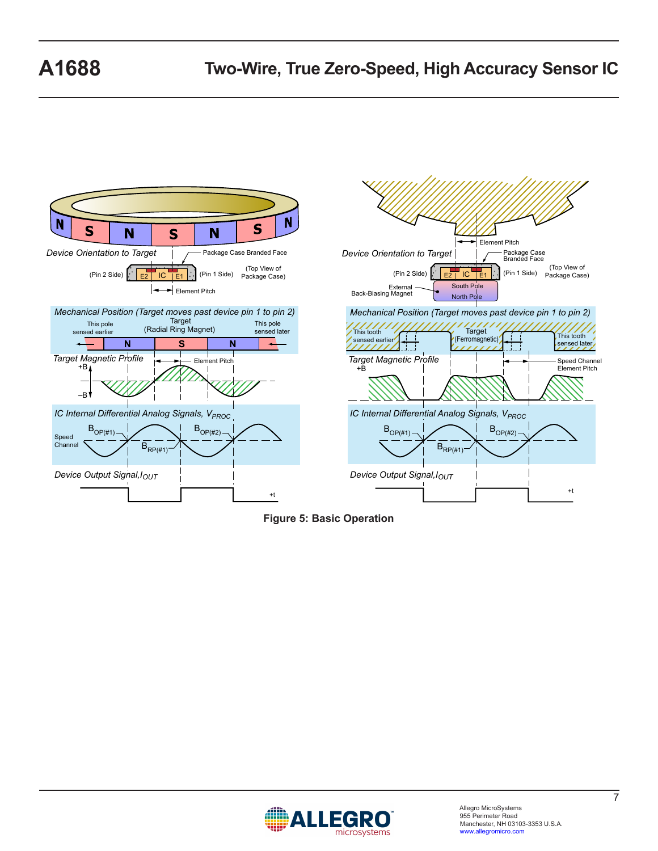



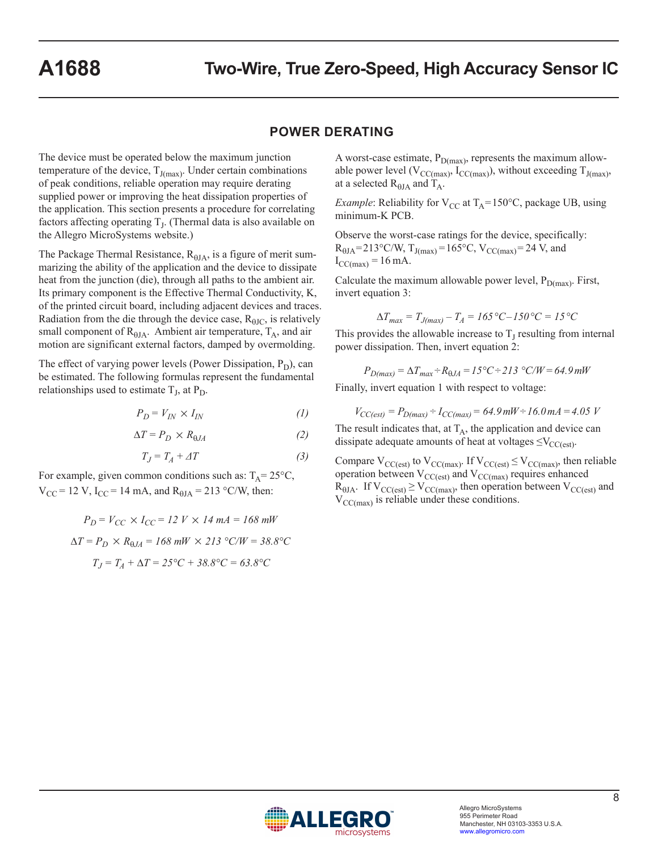### **POWER DERATING**

The device must be operated below the maximum junction temperature of the device,  $T_{J(max)}$ . Under certain combinations of peak conditions, reliable operation may require derating supplied power or improving the heat dissipation properties of the application. This section presents a procedure for correlating factors affecting operating  $T<sub>J</sub>$ . (Thermal data is also available on the Allegro MicroSystems website.)

The Package Thermal Resistance,  $R_{\theta JA}$ , is a figure of merit summarizing the ability of the application and the device to dissipate heat from the junction (die), through all paths to the ambient air. Its primary component is the Effective Thermal Conductivity, K, of the printed circuit board, including adjacent devices and traces. Radiation from the die through the device case,  $R_{\theta JC}$ , is relatively small component of  $R_{\theta JA}$ . Ambient air temperature,  $T_A$ , and air motion are significant external factors, damped by overmolding.

The effect of varying power levels (Power Dissipation,  $P_D$ ), can be estimated. The following formulas represent the fundamental relationships used to estimate  $T_J$ , at  $P_D$ .

$$
P_D = V_{IN} \times I_{IN} \tag{1}
$$

$$
\Delta T = P_D \times R_{\theta J A} \tag{2}
$$

$$
T_J = T_A + \varDelta T \tag{3}
$$

For example, given common conditions such as:  $T_A = 25^{\circ}C$ ,  $V_{CC}$  = 12 V, I<sub>CC</sub> = 14 mA, and R<sub> $\theta$ JA</sub> = 213 °C/W, then:

$$
P_D = V_{CC} \times I_{CC} = 12 \text{ V} \times 14 \text{ mA} = 168 \text{ mW}
$$

$$
\Delta T = P_D \times R_{\theta J A} = 168 \text{ mW} \times 213 \text{ °C/W} = 38.8 \text{ °C}
$$

$$
T_J = T_A + \Delta T = 25 \text{ °C} + 38.8 \text{ °C} = 63.8 \text{ °C}
$$

A worst-case estimate,  $P_{D(max)}$ , represents the maximum allowable power level ( $V_{CC(max)}$ ,  $I_{CC(max)}$ ), without exceeding  $T_{J(max)}$ , at a selected  $R_{\theta I A}$  and  $T_A$ .

*Example*: Reliability for  $V_{CC}$  at  $T_A = 150$ °C, package UB, using minimum-K PCB.

Observe the worst-case ratings for the device, specifically:  $R_{\theta JA} = 213^{\circ}C/W$ ,  $T_{J(max)} = 165^{\circ}C$ ,  $V_{CC(max)} = 24$  V, and  $I_{\text{CC(max)}} = 16 \text{ mA}.$ 

Calculate the maximum allowable power level,  $P_{D(max)}$ . First, invert equation 3:

$$
\Delta T_{max} = T_{J(max)} - T_A = 165 \, \text{°C} - 150 \, \text{°C} = 15 \, \text{°C}
$$

This provides the allowable increase to  $T_J$  resulting from internal power dissipation. Then, invert equation 2:

$$
P_{D(max)} = \Delta T_{max} \div R_{\theta JA} = 15^{\circ}C \div 213^{\circ}C/W = 64.9 \, \text{mW}
$$

Finally, invert equation 1 with respect to voltage:

$$
V_{CC(ext)} = P_{D(max)} \div I_{CC(max)} = 64.9 \, mW \div 16.0 \, mA = 4.05 \, V
$$

The result indicates that, at  $T_A$ , the application and device can dissipate adequate amounts of heat at voltages  $\leq$ V<sub>CC(est)</sub>.

Compare  $V_{CC(est)}$  to  $V_{CC(max)}$ . If  $V_{CC(est)} \leq V_{CC(max)}$ , then reliable operation between  $V_{CC(est)}$  and  $V_{CC(max)}$  requires enhanced  $R_{\text{HJA}}$ . If  $V_{\text{CC}(\text{est})} \geq V_{\text{CC}(\text{max})}$ , then operation between  $V_{\text{CC}(\text{est})}$  and  $V_{\text{CC(max)}}$  is reliable under these conditions.

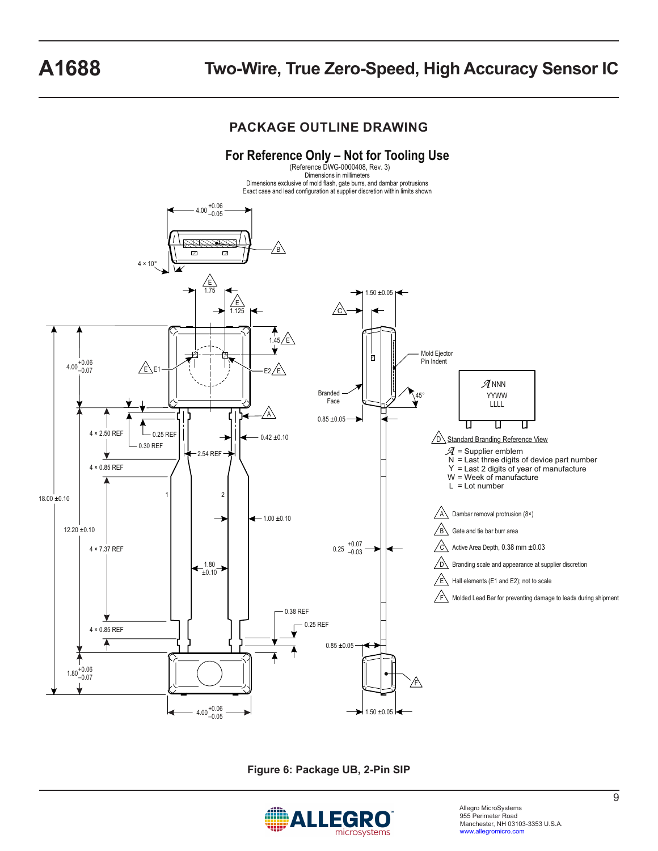# **A1688 Two-Wire, True Zero-Speed, High Accuracy Sensor IC**

## **PACKAGE OUTLINE DRAWING**



**Figure 6: Package UB, 2-Pin SIP**